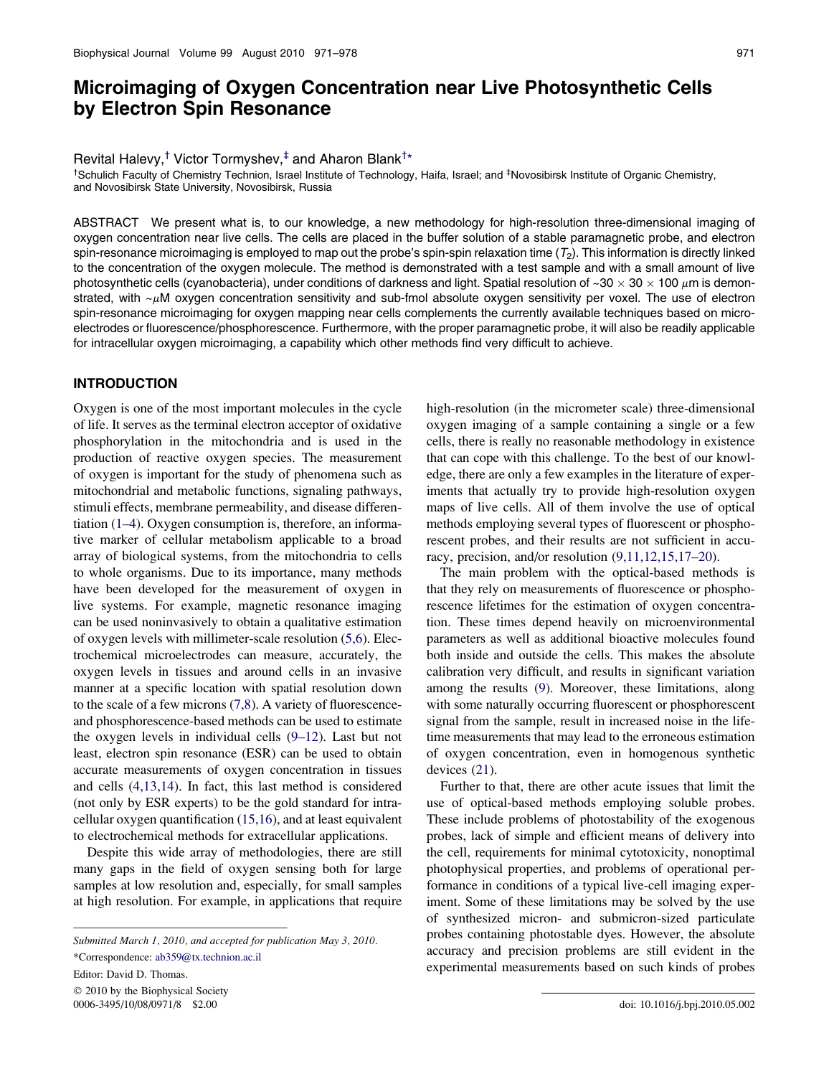# Microimaging of Oxygen Concentration near Live Photosynthetic Cells by Electron Spin Resonance

Revital Halevy,<sup>†</sup> Victor Tormyshev,<sup>‡</sup> and Aharon Blank<sup>†\*</sup>

<sup>†</sup>Schulich Faculty of Chemistry Technion, Israel Institute of Technology, Haifa, Israel; and <sup>‡</sup>Novosibirsk Institute of Organic Chemistry, and Novosibirsk State University, Novosibirsk, Russia

ABSTRACT We present what is, to our knowledge, a new methodology for high-resolution three-dimensional imaging of oxygen concentration near live cells. The cells are placed in the buffer solution of a stable paramagnetic probe, and electron spin-resonance microimaging is employed to map out the probe's spin-spin relaxation time  $(T_2)$ . This information is directly linked to the concentration of the oxygen molecule. The method is demonstrated with a test sample and with a small amount of live photosynthetic cells (cyanobacteria), under conditions of darkness and light. Spatial resolution of ~30  $\times$  30  $\times$  100  $\mu$ m is demonstrated, with  $\sim \mu$ M oxygen concentration sensitivity and sub-fmol absolute oxygen sensitivity per voxel. The use of electron spin-resonance microimaging for oxygen mapping near cells complements the currently available techniques based on microelectrodes or fluorescence/phosphorescence. Furthermore, with the proper paramagnetic probe, it will also be readily applicable for intracellular oxygen microimaging, a capability which other methods find very difficult to achieve.

## INTRODUCTION

Oxygen is one of the most important molecules in the cycle of life. It serves as the terminal electron acceptor of oxidative phosphorylation in the mitochondria and is used in the production of reactive oxygen species. The measurement of oxygen is important for the study of phenomena such as mitochondrial and metabolic functions, signaling pathways, stimuli effects, membrane permeability, and disease differentiation [\(1–4](#page-6-0)). Oxygen consumption is, therefore, an informative marker of cellular metabolism applicable to a broad array of biological systems, from the mitochondria to cells to whole organisms. Due to its importance, many methods have been developed for the measurement of oxygen in live systems. For example, magnetic resonance imaging can be used noninvasively to obtain a qualitative estimation of oxygen levels with millimeter-scale resolution [\(5,6\)](#page-6-0). Electrochemical microelectrodes can measure, accurately, the oxygen levels in tissues and around cells in an invasive manner at a specific location with spatial resolution down to the scale of a few microns [\(7,8\)](#page-6-0). A variety of fluorescenceand phosphorescence-based methods can be used to estimate the oxygen levels in individual cells ([9–12\)](#page-6-0). Last but not least, electron spin resonance (ESR) can be used to obtain accurate measurements of oxygen concentration in tissues and cells ([4,13,14\)](#page-6-0). In fact, this last method is considered (not only by ESR experts) to be the gold standard for intracellular oxygen quantification ([15,16](#page-6-0)), and at least equivalent to electrochemical methods for extracellular applications.

Despite this wide array of methodologies, there are still many gaps in the field of oxygen sensing both for large samples at low resolution and, especially, for small samples at high resolution. For example, in applications that require

\*Correspondence: [ab359@tx.technion.ac.il](mailto:ab359@tx.technion.ac.il)

Editor: David D. Thomas.

 $© 2010$  by the Biophysical Society

high-resolution (in the micrometer scale) three-dimensional oxygen imaging of a sample containing a single or a few cells, there is really no reasonable methodology in existence that can cope with this challenge. To the best of our knowledge, there are only a few examples in the literature of experiments that actually try to provide high-resolution oxygen maps of live cells. All of them involve the use of optical methods employing several types of fluorescent or phosphorescent probes, and their results are not sufficient in accuracy, precision, and/or resolution ([9,11,12,15,17–20](#page-6-0)).

The main problem with the optical-based methods is that they rely on measurements of fluorescence or phosphorescence lifetimes for the estimation of oxygen concentration. These times depend heavily on microenvironmental parameters as well as additional bioactive molecules found both inside and outside the cells. This makes the absolute calibration very difficult, and results in significant variation among the results [\(9](#page-6-0)). Moreover, these limitations, along with some naturally occurring fluorescent or phosphorescent signal from the sample, result in increased noise in the lifetime measurements that may lead to the erroneous estimation of oxygen concentration, even in homogenous synthetic devices [\(21](#page-6-0)).

Further to that, there are other acute issues that limit the use of optical-based methods employing soluble probes. These include problems of photostability of the exogenous probes, lack of simple and efficient means of delivery into the cell, requirements for minimal cytotoxicity, nonoptimal photophysical properties, and problems of operational performance in conditions of a typical live-cell imaging experiment. Some of these limitations may be solved by the use of synthesized micron- and submicron-sized particulate probes containing photostable dyes. However, the absolute accuracy and precision problems are still evident in the experimental measurements based on such kinds of probes

Submitted March 1, 2010, and accepted for publication May 3, 2010.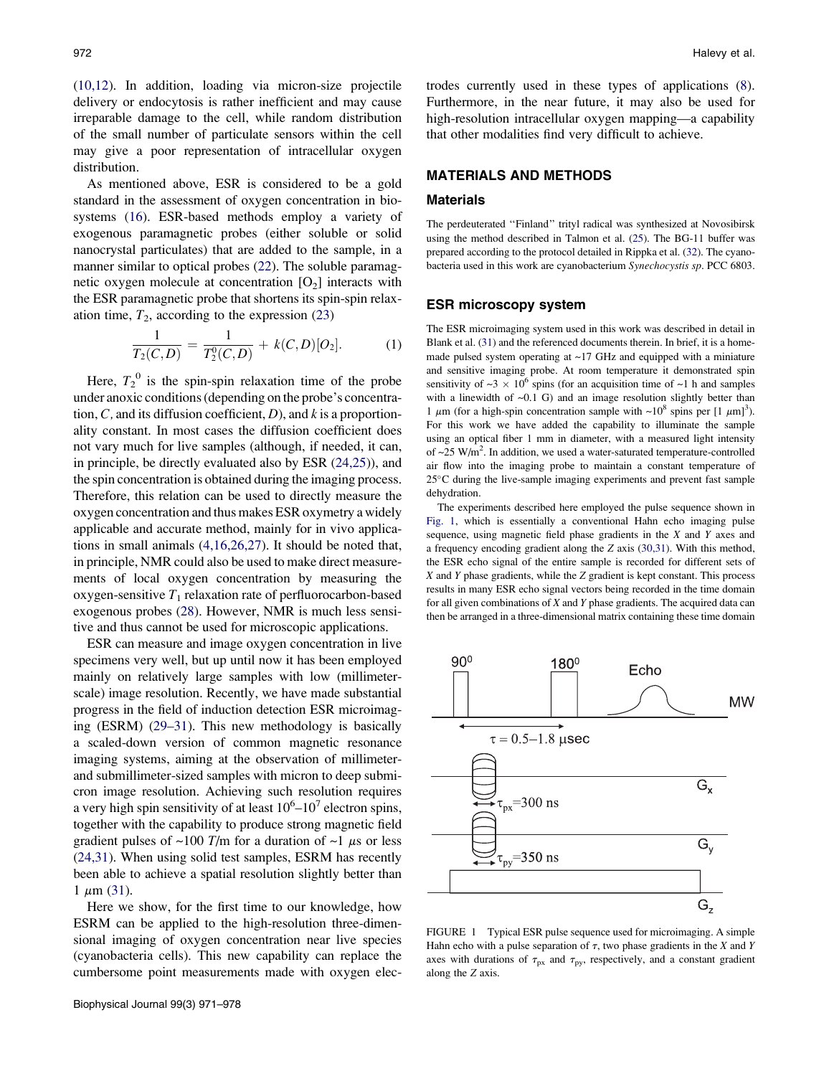<span id="page-1-0"></span>([10,12](#page-6-0)). In addition, loading via micron-size projectile delivery or endocytosis is rather inefficient and may cause irreparable damage to the cell, while random distribution of the small number of particulate sensors within the cell may give a poor representation of intracellular oxygen distribution.

As mentioned above, ESR is considered to be a gold standard in the assessment of oxygen concentration in biosystems ([16\)](#page-6-0). ESR-based methods employ a variety of exogenous paramagnetic probes (either soluble or solid nanocrystal particulates) that are added to the sample, in a manner similar to optical probes ([22\)](#page-6-0). The soluble paramagnetic oxygen molecule at concentration  $[O_2]$  interacts with the ESR paramagnetic probe that shortens its spin-spin relaxation time,  $T_2$ , according to the expression [\(23](#page-6-0))

$$
\frac{1}{T_2(C,D)} = \frac{1}{T_2^0(C,D)} + k(C,D)[O_2].
$$
 (1)

Here,  $T_2^0$  is the spin-spin relaxation time of the probe under anoxic conditions (depending on the probe's concentration,  $C$ , and its diffusion coefficient,  $D$ ), and  $k$  is a proportionality constant. In most cases the diffusion coefficient does not vary much for live samples (although, if needed, it can, in principle, be directly evaluated also by ESR [\(24,25\)](#page-7-0)), and the spin concentration is obtained during the imaging process. Therefore, this relation can be used to directly measure the oxygen concentration and thus makes ESR oxymetry a widely applicable and accurate method, mainly for in vivo applications in small animals ([4,16,26,27](#page-6-0)). It should be noted that, in principle, NMR could also be used to make direct measurements of local oxygen concentration by measuring the oxygen-sensitive  $T_1$  relaxation rate of perfluorocarbon-based exogenous probes [\(28](#page-7-0)). However, NMR is much less sensitive and thus cannot be used for microscopic applications.

ESR can measure and image oxygen concentration in live specimens very well, but up until now it has been employed mainly on relatively large samples with low (millimeterscale) image resolution. Recently, we have made substantial progress in the field of induction detection ESR microimaging (ESRM) ([29–31\)](#page-7-0). This new methodology is basically a scaled-down version of common magnetic resonance imaging systems, aiming at the observation of millimeterand submillimeter-sized samples with micron to deep submicron image resolution. Achieving such resolution requires a very high spin sensitivity of at least  $10^6 - 10^7$  electron spins, together with the capability to produce strong magnetic field gradient pulses of  $\sim$ 100 T/m for a duration of  $\sim$ 1  $\mu$ s or less ([24,31](#page-7-0)). When using solid test samples, ESRM has recently been able to achieve a spatial resolution slightly better than  $1 \mu m (31)$  $1 \mu m (31)$  $1 \mu m (31)$ .

Here we show, for the first time to our knowledge, how ESRM can be applied to the high-resolution three-dimensional imaging of oxygen concentration near live species (cyanobacteria cells). This new capability can replace the cumbersome point measurements made with oxygen electrodes currently used in these types of applications ([8\)](#page-6-0). Furthermore, in the near future, it may also be used for high-resolution intracellular oxygen mapping—a capability that other modalities find very difficult to achieve.

#### MATERIALS AND METHODS

#### Materials

The perdeuterated ''Finland'' trityl radical was synthesized at Novosibirsk using the method described in Talmon et al. [\(25](#page-7-0)). The BG-11 buffer was prepared according to the protocol detailed in Rippka et al. ([32\)](#page-7-0). The cyanobacteria used in this work are cyanobacterium Synechocystis sp. PCC 6803.

#### ESR microscopy system

The ESR microimaging system used in this work was described in detail in Blank et al. ([31\)](#page-7-0) and the referenced documents therein. In brief, it is a homemade pulsed system operating at ~17 GHz and equipped with a miniature and sensitive imaging probe. At room temperature it demonstrated spin sensitivity of  $\sim$ 3  $\times$  10<sup>6</sup> spins (for an acquisition time of  $\sim$ 1 h and samples with a linewidth of  $\sim 0.1$  G) and an image resolution slightly better than 1  $\mu$ m (for a high-spin concentration sample with ~10<sup>8</sup> spins per [1  $\mu$ m]<sup>3</sup>). For this work we have added the capability to illuminate the sample using an optical fiber 1 mm in diameter, with a measured light intensity of  $\sim$ 25 W/m<sup>2</sup>. In addition, we used a water-saturated temperature-controlled air flow into the imaging probe to maintain a constant temperature of 25C during the live-sample imaging experiments and prevent fast sample dehydration.

The experiments described here employed the pulse sequence shown in Fig. 1, which is essentially a conventional Hahn echo imaging pulse sequence, using magnetic field phase gradients in the X and Y axes and a frequency encoding gradient along the Z axis ([30,31\)](#page-7-0). With this method, the ESR echo signal of the entire sample is recorded for different sets of X and Y phase gradients, while the Z gradient is kept constant. This process results in many ESR echo signal vectors being recorded in the time domain for all given combinations of  $X$  and  $Y$  phase gradients. The acquired data can then be arranged in a three-dimensional matrix containing these time domain



FIGURE 1 Typical ESR pulse sequence used for microimaging. A simple Hahn echo with a pulse separation of  $\tau$ , two phase gradients in the X and Y axes with durations of  $\tau_{px}$  and  $\tau_{py}$ , respectively, and a constant gradient along the Z axis.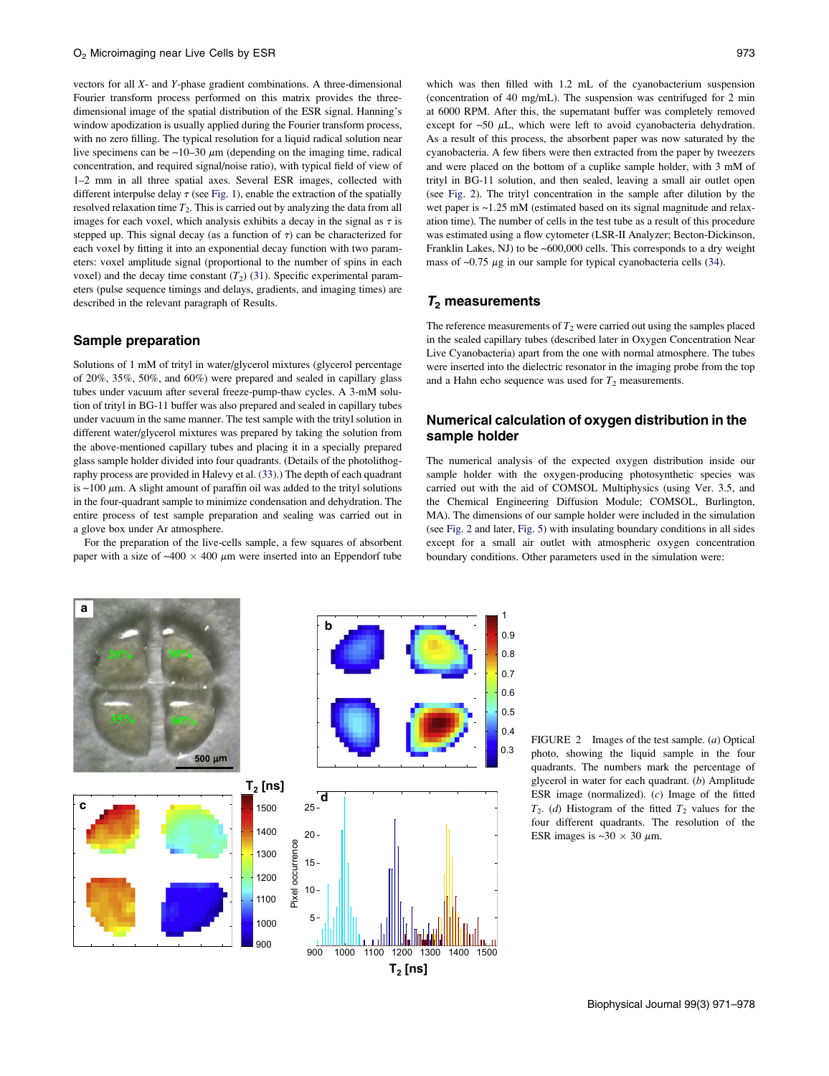<span id="page-2-0"></span>vectors for all X- and Y-phase gradient combinations. A three-dimensional Fourier transform process performed on this matrix provides the threedimensional image of the spatial distribution of the ESR signal. Hanning's window apodization is usually applied during the Fourier transform process, with no zero filling. The typical resolution for a liquid radical solution near live specimens can be  $\sim$ 10–30  $\mu$ m (depending on the imaging time, radical concentration, and required signal/noise ratio), with typical field of view of 1–2 mm in all three spatial axes. Several ESR images, collected with different interpulse delay  $\tau$  (see [Fig. 1](#page-1-0)), enable the extraction of the spatially resolved relaxation time  $T_2$ . This is carried out by analyzing the data from all images for each voxel, which analysis exhibits a decay in the signal as  $\tau$  is stepped up. This signal decay (as a function of  $\tau$ ) can be characterized for each voxel by fitting it into an exponential decay function with two parameters: voxel amplitude signal (proportional to the number of spins in each voxel) and the decay time constant  $(T_2)$  ([31](#page-7-0)). Specific experimental parameters (pulse sequence timings and delays, gradients, and imaging times) are described in the relevant paragraph of Results.

## Sample preparation

Solutions of 1 mM of trityl in water/glycerol mixtures (glycerol percentage of 20%, 35%, 50%, and 60%) were prepared and sealed in capillary glass tubes under vacuum after several freeze-pump-thaw cycles. A 3-mM solution of trityl in BG-11 buffer was also prepared and sealed in capillary tubes under vacuum in the same manner. The test sample with the trityl solution in different water/glycerol mixtures was prepared by taking the solution from the above-mentioned capillary tubes and placing it in a specially prepared glass sample holder divided into four quadrants. (Details of the photolithography process are provided in Halevy et al. ([33\)](#page-7-0).) The depth of each quadrant is  $\sim$ 100  $\mu$ m. A slight amount of paraffin oil was added to the trityl solutions in the four-quadrant sample to minimize condensation and dehydration. The entire process of test sample preparation and sealing was carried out in a glove box under Ar atmosphere.

For the preparation of the live-cells sample, a few squares of absorbent paper with a size of  $~400 \times 400 \mu m$  were inserted into an Eppendorf tube

which was then filled with 1.2 mL of the cyanobacterium suspension (concentration of 40 mg/mL). The suspension was centrifuged for 2 min at 6000 RPM. After this, the supernatant buffer was completely removed except for  $\sim 50$   $\mu$ L, which were left to avoid cyanobacteria dehydration. As a result of this process, the absorbent paper was now saturated by the cyanobacteria. A few fibers were then extracted from the paper by tweezers and were placed on the bottom of a cuplike sample holder, with 3 mM of trityl in BG-11 solution, and then sealed, leaving a small air outlet open (see Fig. 2). The trityl concentration in the sample after dilution by the wet paper is ~1.25 mM (estimated based on its signal magnitude and relaxation time). The number of cells in the test tube as a result of this procedure was estimated using a flow cytometer (LSR-II Analyzer; Becton-Dickinson, Franklin Lakes, NJ) to be ~600,000 cells. This corresponds to a dry weight mass of  $\sim 0.75 \mu$ g in our sample for typical cyanobacteria cells ([34\)](#page-7-0).

## $T_2$  measurements

The reference measurements of  $T_2$  were carried out using the samples placed in the sealed capillary tubes (described later in Oxygen Concentration Near Live Cyanobacteria) apart from the one with normal atmosphere. The tubes were inserted into the dielectric resonator in the imaging probe from the top and a Hahn echo sequence was used for  $T_2$  measurements.

# Numerical calculation of oxygen distribution in the sample holder

The numerical analysis of the expected oxygen distribution inside our sample holder with the oxygen-producing photosynthetic species was carried out with the aid of COMSOL Multiphysics (using Ver. 3.5, and the Chemical Engineering Diffusion Module; COMSOL, Burlington, MA). The dimensions of our sample holder were included in the simulation (see Fig. 2 and later, [Fig. 5](#page-5-0)) with insulating boundary conditions in all sides except for a small air outlet with atmospheric oxygen concentration boundary conditions. Other parameters used in the simulation were:



FIGURE 2 Images of the test sample. (a) Optical photo, showing the liquid sample in the four quadrants. The numbers mark the percentage of glycerol in water for each quadrant.  $(b)$  Amplitude ESR image (normalized). (c) Image of the fitted  $T_2$ . (d) Histogram of the fitted  $T_2$  values for the four different quadrants. The resolution of the ESR images is  $\sim 30 \times 30 \mu$ m.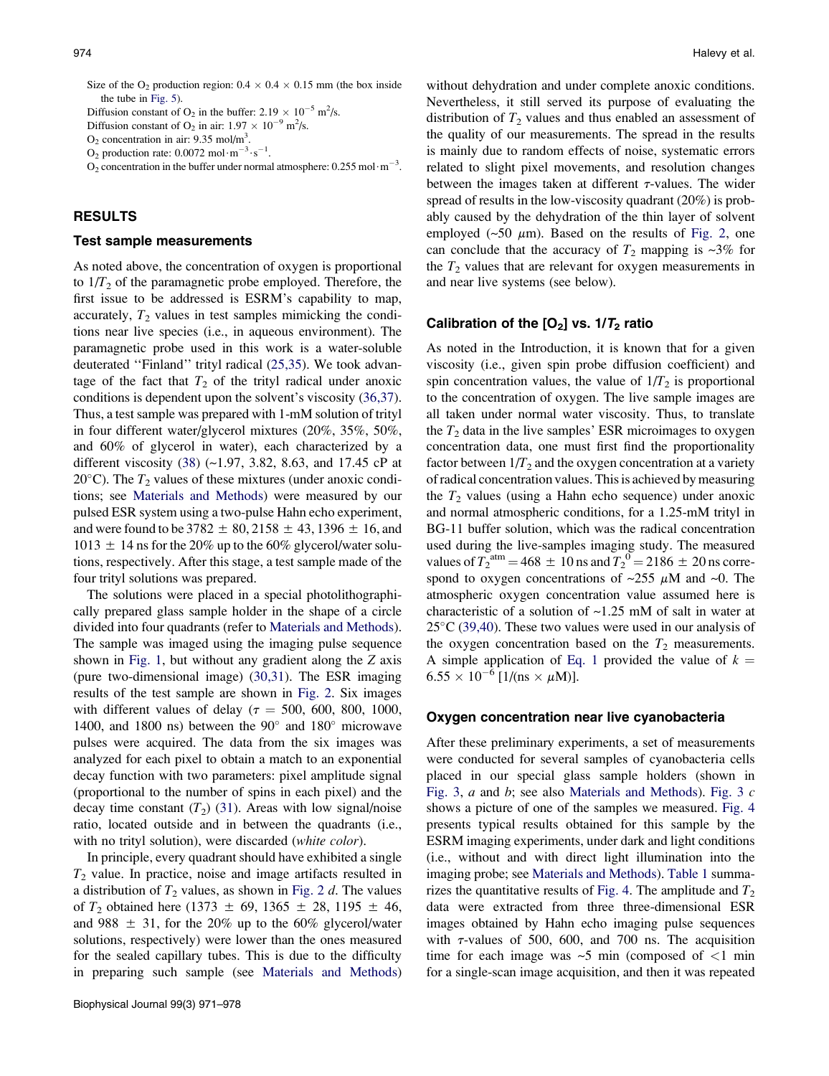Size of the O<sub>2</sub> production region:  $0.4 \times 0.4 \times 0.15$  mm (the box inside the tube in [Fig. 5\)](#page-5-0).

Diffusion constant of O<sub>2</sub> in the buffer:  $2.19 \times 10^{-5}$  m<sup>2</sup>/s.

Diffusion constant of O<sub>2</sub> in air:  $1.97 \times 10^{-9}$  m<sup>2</sup>/s.

 $O_2$  concentration in air: 9.35 mol/m<sup>3</sup>.

 $O_2$  production rate:  $0.0072$  mol $\cdot$ m<sup>-3</sup> $\cdot$ s<sup>-1</sup>.

O<sub>2</sub> concentration in the buffer under normal atmosphere:  $0.255$  mol $\cdot$ m<sup>-3</sup>.

# RESULTS

#### Test sample measurements

As noted above, the concentration of oxygen is proportional to  $1/T_2$  of the paramagnetic probe employed. Therefore, the first issue to be addressed is ESRM's capability to map, accurately,  $T_2$  values in test samples mimicking the conditions near live species (i.e., in aqueous environment). The paramagnetic probe used in this work is a water-soluble deuterated ''Finland'' trityl radical [\(25,35\)](#page-7-0). We took advantage of the fact that  $T_2$  of the trityl radical under anoxic conditions is dependent upon the solvent's viscosity [\(36,37\)](#page-7-0). Thus, a test sample was prepared with 1-mM solution of trityl in four different water/glycerol mixtures (20%, 35%, 50%, and 60% of glycerol in water), each characterized by a different viscosity ([38\)](#page-7-0) (~1.97, 3.82, 8.63, and 17.45 cP at 20 $^{\circ}$ C). The  $T_2$  values of these mixtures (under anoxic conditions; see [Materials and Methods\)](#page-1-0) were measured by our pulsed ESR system using a two-pulse Hahn echo experiment, and were found to be  $3782 \pm 80, 2158 \pm 43, 1396 \pm 16$ , and  $1013 \pm 14$  ns for the 20% up to the 60% glycerol/water solutions, respectively. After this stage, a test sample made of the four trityl solutions was prepared.

The solutions were placed in a special photolithographically prepared glass sample holder in the shape of a circle divided into four quadrants (refer to [Materials and Methods\)](#page-1-0). The sample was imaged using the imaging pulse sequence shown in [Fig. 1,](#page-1-0) but without any gradient along the Z axis (pure two-dimensional image) ([30,31](#page-7-0)). The ESR imaging results of the test sample are shown in [Fig. 2](#page-2-0). Six images with different values of delay ( $\tau = 500, 600, 800, 1000,$ 1400, and 1800 ns) between the  $90^{\circ}$  and  $180^{\circ}$  microwave pulses were acquired. The data from the six images was analyzed for each pixel to obtain a match to an exponential decay function with two parameters: pixel amplitude signal (proportional to the number of spins in each pixel) and the decay time constant  $(T_2)$  [\(31](#page-7-0)). Areas with low signal/noise ratio, located outside and in between the quadrants (i.e., with no trityl solution), were discarded (white color).

In principle, every quadrant should have exhibited a single  $T_2$  value. In practice, noise and image artifacts resulted in a distribution of  $T_2$  values, as shown in [Fig. 2](#page-2-0) d. The values of  $T_2$  obtained here (1373  $\pm$  69, 1365  $\pm$  28, 1195  $\pm$  46, and 988  $\pm$  31, for the 20% up to the 60% glycerol/water solutions, respectively) were lower than the ones measured for the sealed capillary tubes. This is due to the difficulty in preparing such sample (see [Materials and Methods](#page-1-0)) without dehydration and under complete anoxic conditions. Nevertheless, it still served its purpose of evaluating the distribution of  $T_2$  values and thus enabled an assessment of the quality of our measurements. The spread in the results is mainly due to random effects of noise, systematic errors related to slight pixel movements, and resolution changes between the images taken at different  $\tau$ -values. The wider spread of results in the low-viscosity quadrant (20%) is probably caused by the dehydration of the thin layer of solvent employed  $(-50 \mu m)$ . Based on the results of [Fig. 2](#page-2-0), one can conclude that the accuracy of  $T_2$  mapping is ~3% for the  $T_2$  values that are relevant for oxygen measurements in and near live systems (see below).

# Calibration of the  $[O_2]$  vs. 1/ $T_2$  ratio

As noted in the Introduction, it is known that for a given viscosity (i.e., given spin probe diffusion coefficient) and spin concentration values, the value of  $1/T_2$  is proportional to the concentration of oxygen. The live sample images are all taken under normal water viscosity. Thus, to translate the  $T_2$  data in the live samples' ESR microimages to oxygen concentration data, one must first find the proportionality factor between  $1/T_2$  and the oxygen concentration at a variety of radical concentration values. This is achieved by measuring the  $T_2$  values (using a Hahn echo sequence) under anoxic and normal atmospheric conditions, for a 1.25-mM trityl in BG-11 buffer solution, which was the radical concentration used during the live-samples imaging study. The measured values of  $T_2^{\text{atm}} = 468 \pm 10 \text{ ns}$  and  $T_2^{\text{0}} = 2186 \pm 20 \text{ ns}$  correspond to oxygen concentrations of  $\sim$ 255  $\mu$ M and  $\sim$ 0. The atmospheric oxygen concentration value assumed here is characteristic of a solution of  $\sim$ 1.25 mM of salt in water at  $25^{\circ}$ C ([39,40](#page-7-0)). These two values were used in our analysis of the oxygen concentration based on the  $T_2$  measurements. A simple application of Eq. 1 provided the value of  $k =$  $6.55 \times 10^{-6}$  [1/(ns  $\times \mu$ M)].

#### Oxygen concentration near live cyanobacteria

After these preliminary experiments, a set of measurements were conducted for several samples of cyanobacteria cells placed in our special glass sample holders (shown in [Fig. 3,](#page-4-0) a and b; see also [Materials and Methods\)](#page-1-0). [Fig. 3](#page-4-0) c shows a picture of one of the samples we measured. [Fig. 4](#page-4-0) presents typical results obtained for this sample by the ESRM imaging experiments, under dark and light conditions (i.e., without and with direct light illumination into the imaging probe; see [Materials and Methods\)](#page-1-0). [Table 1](#page-5-0) summa-rizes the quantitative results of [Fig. 4](#page-4-0). The amplitude and  $T_2$ data were extracted from three three-dimensional ESR images obtained by Hahn echo imaging pulse sequences with  $\tau$ -values of 500, 600, and 700 ns. The acquisition time for each image was  $\sim$ 5 min (composed of  $\lt$ 1 min for a single-scan image acquisition, and then it was repeated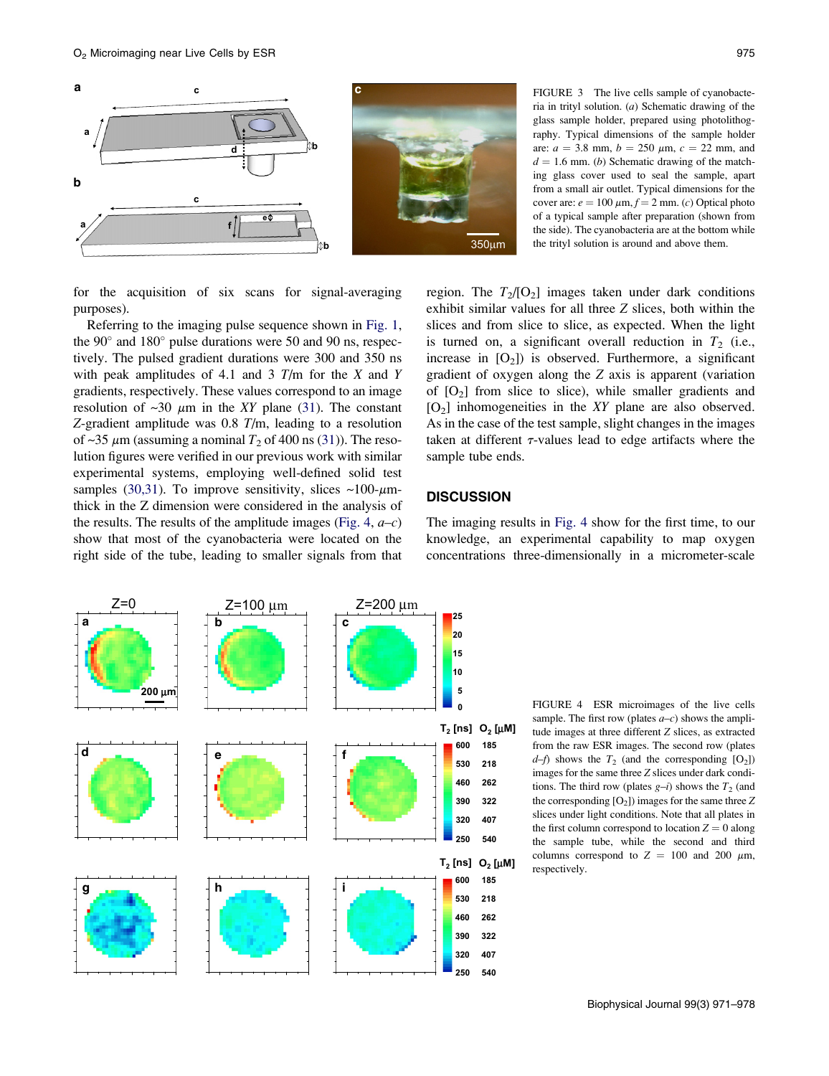<span id="page-4-0"></span>

FIGURE 3 The live cells sample of cyanobacteria in trityl solution. (a) Schematic drawing of the glass sample holder, prepared using photolithography. Typical dimensions of the sample holder are:  $a = 3.8$  mm,  $b = 250$  *um, c = 22 mm, and*  $d = 1.6$  mm. (b) Schematic drawing of the matching glass cover used to seal the sample, apart from a small air outlet. Typical dimensions for the cover are:  $e = 100 \ \mu \text{m}, f = 2 \ \text{mm}$ . (c) Optical photo of a typical sample after preparation (shown from the side). The cyanobacteria are at the bottom while the trityl solution is around and above them.

for the acquisition of six scans for signal-averaging purposes).

Referring to the imaging pulse sequence shown in [Fig. 1](#page-1-0), the  $90^{\circ}$  and  $180^{\circ}$  pulse durations were 50 and 90 ns, respectively. The pulsed gradient durations were 300 and 350 ns with peak amplitudes of 4.1 and 3  $T/m$  for the X and Y gradients, respectively. These values correspond to an image resolution of  $\sim 30 \mu m$  in the XY plane ([31\)](#page-7-0). The constant Z-gradient amplitude was 0.8 T/m, leading to a resolution of ~35  $\mu$ m (assuming a nominal  $T_2$  of 400 ns [\(31](#page-7-0))). The resolution figures were verified in our previous work with similar experimental systems, employing well-defined solid test samples ([30,31](#page-7-0)). To improve sensitivity, slices  $\sim$ 100- $\mu$ mthick in the Z dimension were considered in the analysis of the results. The results of the amplitude images (Fig. 4,  $a-c$ ) show that most of the cyanobacteria were located on the right side of the tube, leading to smaller signals from that region. The  $T_2/[O_2]$  images taken under dark conditions exhibit similar values for all three Z slices, both within the slices and from slice to slice, as expected. When the light is turned on, a significant overall reduction in  $T_2$  (i.e., increase in  $[O_2]$ ) is observed. Furthermore, a significant gradient of oxygen along the Z axis is apparent (variation of  $[O_2]$  from slice to slice), while smaller gradients and  $[O_2]$  inhomogeneities in the XY plane are also observed. As in the case of the test sample, slight changes in the images taken at different  $\tau$ -values lead to edge artifacts where the sample tube ends.

# **DISCUSSION**

The imaging results in Fig. 4 show for the first time, to our knowledge, an experimental capability to map oxygen concentrations three-dimensionally in a micrometer-scale



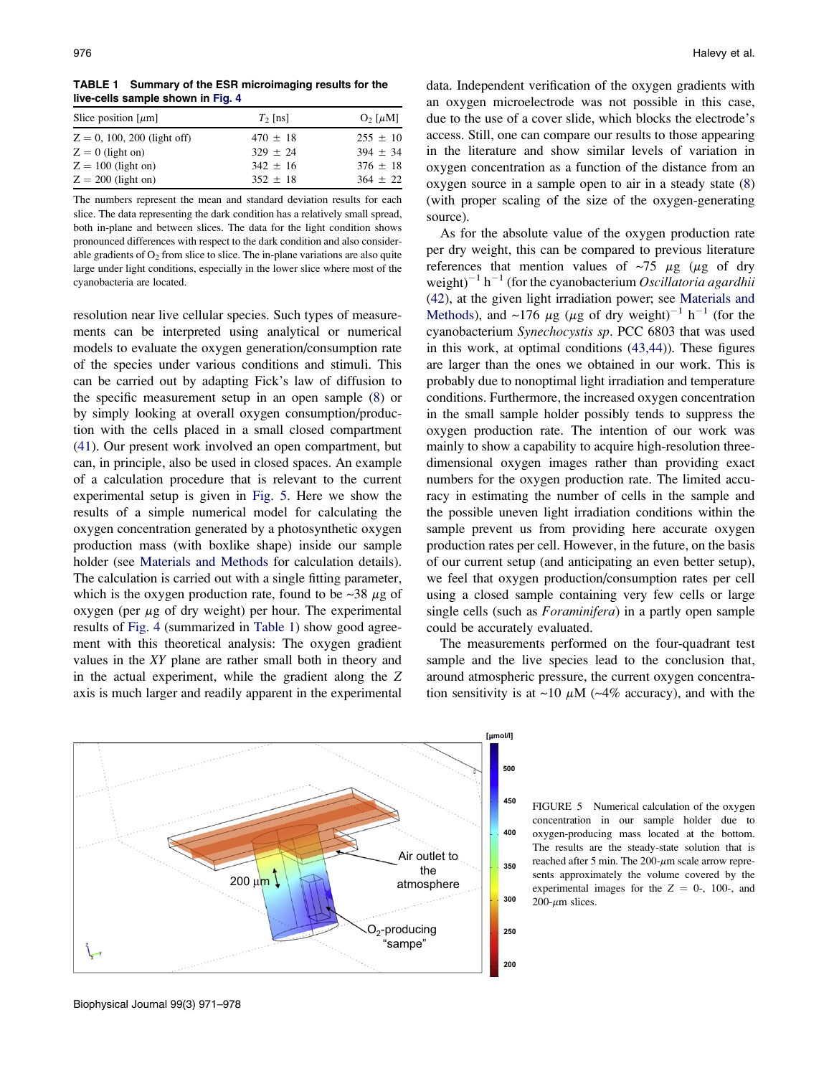<span id="page-5-0"></span>TABLE 1 Summary of the ESR microimaging results for the live-cells sample shown in [Fig. 4](#page-4-0)

| Slice position $[\mu m]$       | $T_2$ [ns]   | $O2$ [ $\mu$ M] |
|--------------------------------|--------------|-----------------|
| $Z = 0$ , 100, 200 (light off) | $470 \pm 18$ | $255 \pm 10$    |
| $Z = 0$ (light on)             | $329 + 24$   | $394 \pm 34$    |
| $Z = 100$ (light on)           | $342 + 16$   | $376 \pm 18$    |
| $Z = 200$ (light on)           | $352 + 18$   | $364 \pm 22$    |

The numbers represent the mean and standard deviation results for each slice. The data representing the dark condition has a relatively small spread, both in-plane and between slices. The data for the light condition shows pronounced differences with respect to the dark condition and also considerable gradients of  $O_2$  from slice to slice. The in-plane variations are also quite large under light conditions, especially in the lower slice where most of the cyanobacteria are located.

resolution near live cellular species. Such types of measurements can be interpreted using analytical or numerical models to evaluate the oxygen generation/consumption rate of the species under various conditions and stimuli. This can be carried out by adapting Fick's law of diffusion to the specific measurement setup in an open sample ([8\)](#page-6-0) or by simply looking at overall oxygen consumption/production with the cells placed in a small closed compartment ([41\)](#page-7-0). Our present work involved an open compartment, but can, in principle, also be used in closed spaces. An example of a calculation procedure that is relevant to the current experimental setup is given in Fig. 5. Here we show the results of a simple numerical model for calculating the oxygen concentration generated by a photosynthetic oxygen production mass (with boxlike shape) inside our sample holder (see [Materials and Methods](#page-1-0) for calculation details). The calculation is carried out with a single fitting parameter, which is the oxygen production rate, found to be  $\sim$ 38  $\mu$ g of oxygen (per  $\mu$ g of dry weight) per hour. The experimental results of [Fig. 4](#page-4-0) (summarized in Table 1) show good agreement with this theoretical analysis: The oxygen gradient values in the XY plane are rather small both in theory and in the actual experiment, while the gradient along the Z axis is much larger and readily apparent in the experimental data. Independent verification of the oxygen gradients with an oxygen microelectrode was not possible in this case, due to the use of a cover slide, which blocks the electrode's access. Still, one can compare our results to those appearing in the literature and show similar levels of variation in oxygen concentration as a function of the distance from an oxygen source in a sample open to air in a steady state [\(8](#page-6-0)) (with proper scaling of the size of the oxygen-generating source).

As for the absolute value of the oxygen production rate per dry weight, this can be compared to previous literature references that mention values of  $\sim$ 75  $\mu$ g ( $\mu$ g of dry weight)<sup>-1</sup> h<sup>-1</sup> (for the cyanobacterium *Oscillatoria agardhii* ([42\)](#page-7-0), at the given light irradiation power; see [Materials and](#page-1-0) [Methods](#page-1-0)), and ~176  $\mu$ g ( $\mu$ g of dry weight)<sup>-1</sup> h<sup>-1</sup> (for the cyanobacterium Synechocystis sp. PCC 6803 that was used in this work, at optimal conditions ([43,44](#page-7-0))). These figures are larger than the ones we obtained in our work. This is probably due to nonoptimal light irradiation and temperature conditions. Furthermore, the increased oxygen concentration in the small sample holder possibly tends to suppress the oxygen production rate. The intention of our work was mainly to show a capability to acquire high-resolution threedimensional oxygen images rather than providing exact numbers for the oxygen production rate. The limited accuracy in estimating the number of cells in the sample and the possible uneven light irradiation conditions within the sample prevent us from providing here accurate oxygen production rates per cell. However, in the future, on the basis of our current setup (and anticipating an even better setup), we feel that oxygen production/consumption rates per cell using a closed sample containing very few cells or large single cells (such as *Foraminifera*) in a partly open sample could be accurately evaluated.

The measurements performed on the four-quadrant test sample and the live species lead to the conclusion that, around atmospheric pressure, the current oxygen concentration sensitivity is at  $\sim$ 10  $\mu$ M ( $\sim$ 4% accuracy), and with the

**[**µ**mol/l]**



FIGURE 5 Numerical calculation of the oxygen concentration in our sample holder due to oxygen-producing mass located at the bottom. The results are the steady-state solution that is reached after 5 min. The  $200-\mu$ m scale arrow represents approximately the volume covered by the experimental images for the  $Z = 0$ -, 100-, and 200- $\mu$ m slices.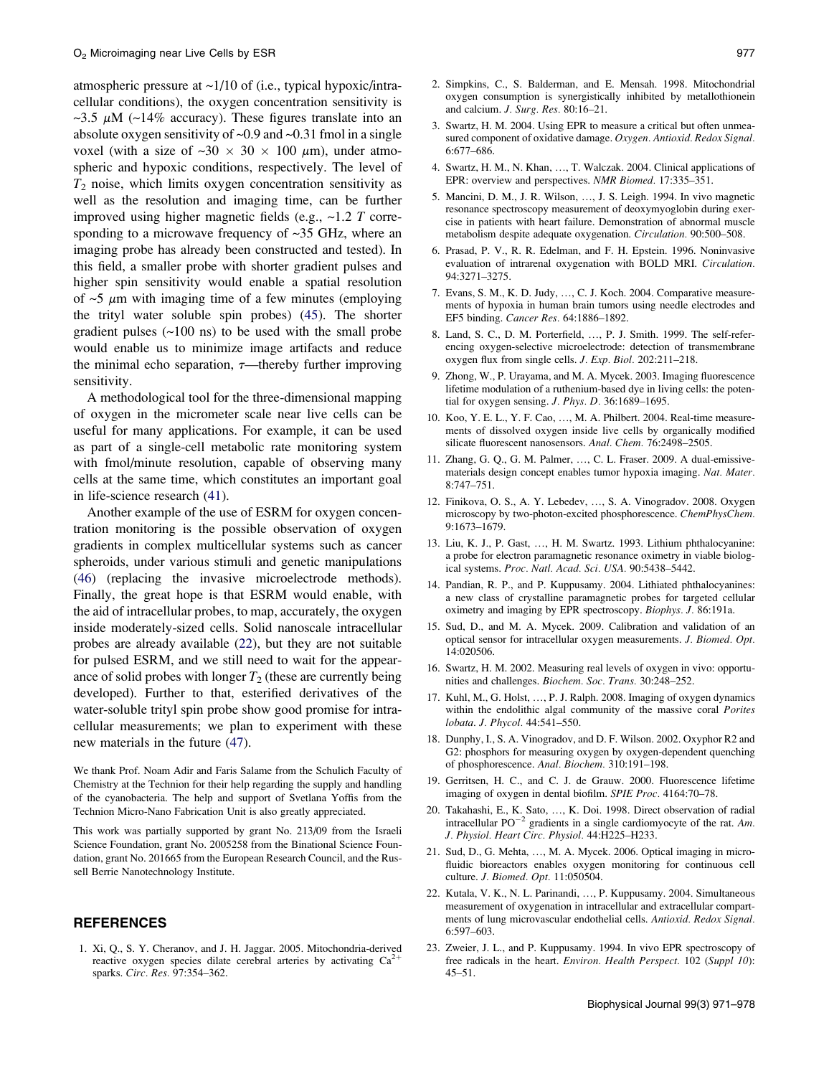<span id="page-6-0"></span>atmospheric pressure at  $\sim$ 1/10 of (i.e., typical hypoxic/intracellular conditions), the oxygen concentration sensitivity is ~3.5  $\mu$ M (~14% accuracy). These figures translate into an absolute oxygen sensitivity of ~0.9 and ~0.31 fmol in a single voxel (with a size of  $\sim 30 \times 30 \times 100 \mu$ m), under atmospheric and hypoxic conditions, respectively. The level of  $T_2$  noise, which limits oxygen concentration sensitivity as well as the resolution and imaging time, can be further improved using higher magnetic fields (e.g.,  $\sim 1.2$  T corresponding to a microwave frequency of ~35 GHz, where an imaging probe has already been constructed and tested). In this field, a smaller probe with shorter gradient pulses and higher spin sensitivity would enable a spatial resolution of  $\sim$ 5  $\mu$ m with imaging time of a few minutes (employing the trityl water soluble spin probes) ([45\)](#page-7-0). The shorter gradient pulses (~100 ns) to be used with the small probe would enable us to minimize image artifacts and reduce the minimal echo separation,  $\tau$ —thereby further improving sensitivity.

A methodological tool for the three-dimensional mapping of oxygen in the micrometer scale near live cells can be useful for many applications. For example, it can be used as part of a single-cell metabolic rate monitoring system with fmol/minute resolution, capable of observing many cells at the same time, which constitutes an important goal in life-science research [\(41](#page-7-0)).

Another example of the use of ESRM for oxygen concentration monitoring is the possible observation of oxygen gradients in complex multicellular systems such as cancer spheroids, under various stimuli and genetic manipulations ([46\)](#page-7-0) (replacing the invasive microelectrode methods). Finally, the great hope is that ESRM would enable, with the aid of intracellular probes, to map, accurately, the oxygen inside moderately-sized cells. Solid nanoscale intracellular probes are already available (22), but they are not suitable for pulsed ESRM, and we still need to wait for the appearance of solid probes with longer  $T_2$  (these are currently being developed). Further to that, esterified derivatives of the water-soluble trityl spin probe show good promise for intracellular measurements; we plan to experiment with these new materials in the future [\(47](#page-7-0)).

We thank Prof. Noam Adir and Faris Salame from the Schulich Faculty of Chemistry at the Technion for their help regarding the supply and handling of the cyanobacteria. The help and support of Svetlana Yoffis from the Technion Micro-Nano Fabrication Unit is also greatly appreciated.

This work was partially supported by grant No. 213/09 from the Israeli Science Foundation, grant No. 2005258 from the Binational Science Foundation, grant No. 201665 from the European Research Council, and the Russell Berrie Nanotechnology Institute.

### **REFERENCES**

1. Xi, Q., S. Y. Cheranov, and J. H. Jaggar. 2005. Mitochondria-derived reactive oxygen species dilate cerebral arteries by activating  $Ca<sup>2</sup>$ sparks. Circ. Res. 97:354–362.

- 2. Simpkins, C., S. Balderman, and E. Mensah. 1998. Mitochondrial oxygen consumption is synergistically inhibited by metallothionein and calcium. J. Surg. Res. 80:16–21.
- 3. Swartz, H. M. 2004. Using EPR to measure a critical but often unmeasured component of oxidative damage. Oxygen. Antioxid. Redox Signal. 6:677–686.
- 4. Swartz, H. M., N. Khan, ., T. Walczak. 2004. Clinical applications of EPR: overview and perspectives. NMR Biomed. 17:335–351.
- 5. Mancini, D. M., J. R. Wilson, ., J. S. Leigh. 1994. In vivo magnetic resonance spectroscopy measurement of deoxymyoglobin during exercise in patients with heart failure. Demonstration of abnormal muscle metabolism despite adequate oxygenation. Circulation. 90:500–508.
- 6. Prasad, P. V., R. R. Edelman, and F. H. Epstein. 1996. Noninvasive evaluation of intrarenal oxygenation with BOLD MRI. Circulation. 94:3271–3275.
- 7. Evans, S. M., K. D. Judy, ..., C. J. Koch. 2004. Comparative measurements of hypoxia in human brain tumors using needle electrodes and EF5 binding. Cancer Res. 64:1886–1892.
- 8. Land, S. C., D. M. Porterfield, ..., P. J. Smith. 1999. The self-referencing oxygen-selective microelectrode: detection of transmembrane oxygen flux from single cells. J. Exp. Biol. 202:211–218.
- 9. Zhong, W., P. Urayama, and M. A. Mycek. 2003. Imaging fluorescence lifetime modulation of a ruthenium-based dye in living cells: the potential for oxygen sensing. J. Phys. D. 36:1689–1695.
- 10. Koo, Y. E. L., Y. F. Cao, ., M. A. Philbert. 2004. Real-time measurements of dissolved oxygen inside live cells by organically modified silicate fluorescent nanosensors. Anal. Chem. 76:2498–2505.
- 11. Zhang, G. Q., G. M. Palmer, ., C. L. Fraser. 2009. A dual-emissivematerials design concept enables tumor hypoxia imaging. Nat. Mater. 8:747–751.
- 12. Finikova, O. S., A. Y. Lebedev, ., S. A. Vinogradov. 2008. Oxygen microscopy by two-photon-excited phosphorescence. ChemPhysChem. 9:1673–1679.
- 13. Liu, K. J., P. Gast, ., H. M. Swartz. 1993. Lithium phthalocyanine: a probe for electron paramagnetic resonance oximetry in viable biological systems. Proc. Natl. Acad. Sci. USA. 90:5438–5442.
- 14. Pandian, R. P., and P. Kuppusamy. 2004. Lithiated phthalocyanines: a new class of crystalline paramagnetic probes for targeted cellular oximetry and imaging by EPR spectroscopy. Biophys. J. 86:191a.
- 15. Sud, D., and M. A. Mycek. 2009. Calibration and validation of an optical sensor for intracellular oxygen measurements. J. Biomed. Opt. 14:020506.
- 16. Swartz, H. M. 2002. Measuring real levels of oxygen in vivo: opportunities and challenges. Biochem. Soc. Trans. 30:248–252.
- 17. Kuhl, M., G. Holst, ., P. J. Ralph. 2008. Imaging of oxygen dynamics within the endolithic algal community of the massive coral Porites lobata. J. Phycol. 44:541–550.
- 18. Dunphy, I., S. A. Vinogradov, and D. F. Wilson. 2002. Oxyphor R2 and G2: phosphors for measuring oxygen by oxygen-dependent quenching of phosphorescence. Anal. Biochem. 310:191–198.
- 19. Gerritsen, H. C., and C. J. de Grauw. 2000. Fluorescence lifetime imaging of oxygen in dental biofilm. SPIE Proc. 4164:70–78.
- 20. Takahashi, E., K. Sato, ., K. Doi. 1998. Direct observation of radial intracellular  $PO^{-2}$  gradients in a single cardiomyocyte of the rat. Am. J. Physiol. Heart Circ. Physiol. 44:H225–H233.
- 21. Sud, D., G. Mehta, ..., M. A. Mycek. 2006. Optical imaging in microfluidic bioreactors enables oxygen monitoring for continuous cell culture. J. Biomed. Opt. 11:050504.
- 22. Kutala, V. K., N. L. Parinandi, ..., P. Kuppusamy. 2004. Simultaneous measurement of oxygenation in intracellular and extracellular compartments of lung microvascular endothelial cells. Antioxid. Redox Signal. 6:597–603.
- 23. Zweier, J. L., and P. Kuppusamy. 1994. In vivo EPR spectroscopy of free radicals in the heart. Environ. Health Perspect. 102 (Suppl 10): 45–51.